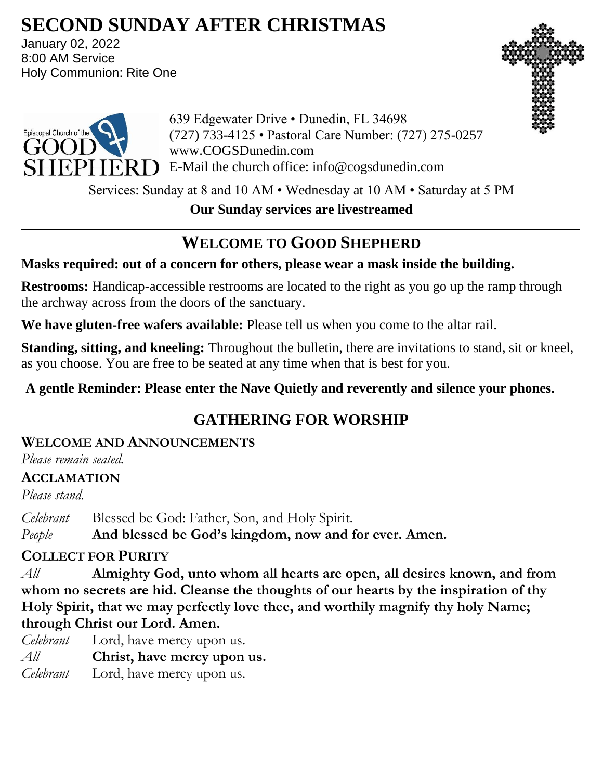# **SECOND SUNDAY AFTER CHRISTMAS**

January 02, 2022 8:00 AM Service Holy Communion: Rite One





639 Edgewater Drive • Dunedin, FL 34698 (727) 733-4125 • Pastoral Care Number: (727) 275-0257 www.COGSDunedin.com  $HPPHERD$  E-Mail the church office: info@cogsdunedin.com

Services: Sunday at 8 and 10 AM • Wednesday at 10 AM • Saturday at 5 PM

**Our Sunday services are livestreamed**

# **WELCOME TO GOOD SHEPHERD**

### **Masks required: out of a concern for others, please wear a mask inside the building.**

**Restrooms:** Handicap-accessible restrooms are located to the right as you go up the ramp through the archway across from the doors of the sanctuary.

**We have gluten-free wafers available:** Please tell us when you come to the altar rail.

**Standing, sitting, and kneeling:** Throughout the bulletin, there are invitations to stand, sit or kneel, as you choose. You are free to be seated at any time when that is best for you.

**A gentle Reminder: Please enter the Nave Quietly and reverently and silence your phones.**

# **GATHERING FOR WORSHIP**

### **WELCOME AND ANNOUNCEMENTS**

*Please remain seated.*

### **ACCLAMATION**

*Please stand.*

*Celebrant* Blessed be God: Father, Son, and Holy Spirit.

*People* **And blessed be God's kingdom, now and for ever. Amen.**

# **COLLECT FOR PURITY**

*All* **Almighty God, unto whom all hearts are open, all desires known, and from whom no secrets are hid. Cleanse the thoughts of our hearts by the inspiration of thy Holy Spirit, that we may perfectly love thee, and worthily magnify thy holy Name; through Christ our Lord. Amen.**

*Celebrant* Lord, have mercy upon us.

*All* **Christ, have mercy upon us.**

*Celebrant* Lord, have mercy upon us.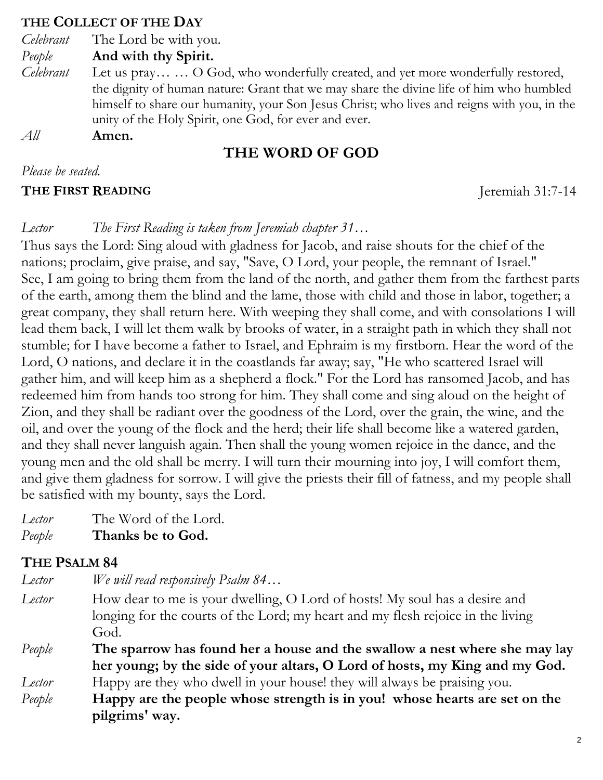#### **THE COLLECT OF THE DAY**

*Celebrant* The Lord be with you.

*People* **And with thy Spirit.**

- *Celebrant* Let us pray… … O God, who wonderfully created, and yet more wonderfully restored, the dignity of human nature: Grant that we may share the divine life of him who humbled himself to share our humanity, your Son Jesus Christ; who lives and reigns with you, in the unity of the Holy Spirit, one God, for ever and ever.
- *All* **Amen.**

#### **THE WORD OF GOD**

*Please be seated.*

#### **THE FIRST READING** Jeremiah 31:7-14

#### *Lector The First Reading is taken from Jeremiah chapter 31…*

Thus says the Lord: Sing aloud with gladness for Jacob, and raise shouts for the chief of the nations; proclaim, give praise, and say, "Save, O Lord, your people, the remnant of Israel." See, I am going to bring them from the land of the north, and gather them from the farthest parts of the earth, among them the blind and the lame, those with child and those in labor, together; a great company, they shall return here. With weeping they shall come, and with consolations I will lead them back, I will let them walk by brooks of water, in a straight path in which they shall not stumble; for I have become a father to Israel, and Ephraim is my firstborn. Hear the word of the Lord, O nations, and declare it in the coastlands far away; say, "He who scattered Israel will gather him, and will keep him as a shepherd a flock." For the Lord has ransomed Jacob, and has redeemed him from hands too strong for him. They shall come and sing aloud on the height of Zion, and they shall be radiant over the goodness of the Lord, over the grain, the wine, and the oil, and over the young of the flock and the herd; their life shall become like a watered garden, and they shall never languish again. Then shall the young women rejoice in the dance, and the young men and the old shall be merry. I will turn their mourning into joy, I will comfort them, and give them gladness for sorrow. I will give the priests their fill of fatness, and my people shall be satisfied with my bounty, says the Lord.

*Lector* The Word of the Lord.

*People* **Thanks be to God.**

#### **THE PSALM 84**

*Lector We will read responsively Psalm 84…*

- *Lector* How dear to me is your dwelling, O Lord of hosts! My soul has a desire and longing for the courts of the Lord; my heart and my flesh rejoice in the living God.
- *People* **The sparrow has found her a house and the swallow a nest where she may lay her young; by the side of your altars, O Lord of hosts, my King and my God.** *Lector* Happy are they who dwell in your house! they will always be praising you.
- *People* **Happy are the people whose strength is in you! whose hearts are set on the pilgrims' way.**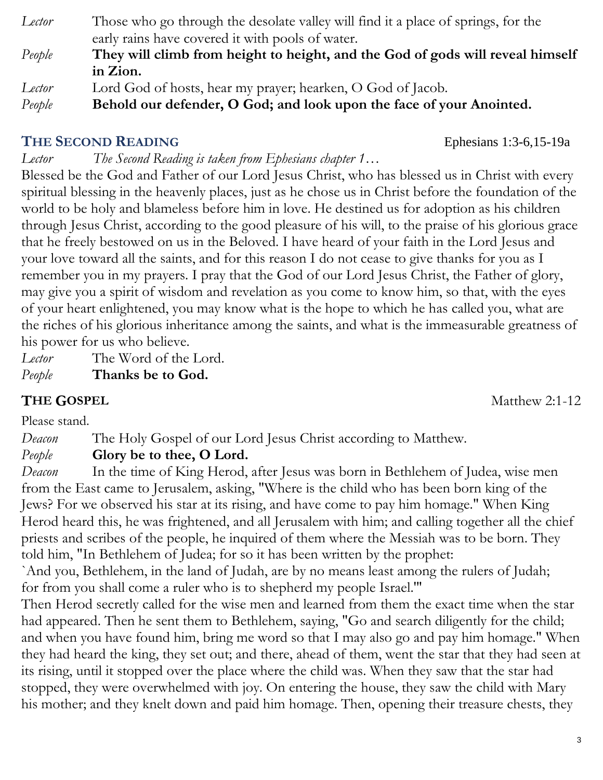*Lector* Lord God of hosts, hear my prayer; hearken, O God of Jacob. *People* **Behold our defender, O God; and look upon the face of your Anointed. THE SECOND READING** Ephesians 1:3-6,15-19a *Lector The Second Reading is taken from Ephesians chapter 1…*

Blessed be the God and Father of our Lord Jesus Christ, who has blessed us in Christ with every spiritual blessing in the heavenly places, just as he chose us in Christ before the foundation of the world to be holy and blameless before him in love. He destined us for adoption as his children through Jesus Christ, according to the good pleasure of his will, to the praise of his glorious grace that he freely bestowed on us in the Beloved. I have heard of your faith in the Lord Jesus and your love toward all the saints, and for this reason I do not cease to give thanks for you as I remember you in my prayers. I pray that the God of our Lord Jesus Christ, the Father of glory, may give you a spirit of wisdom and revelation as you come to know him, so that, with the eyes of your heart enlightened, you may know what is the hope to which he has called you, what are the riches of his glorious inheritance among the saints, and what is the immeasurable greatness of his power for us who believe.

*Lector* The Word of the Lord.

*People* **Thanks be to God.**

**in Zion.**

**THE GOSPEL** Matthew 2:1-12

Please stand.

*Deacon* The Holy Gospel of our Lord Jesus Christ according to Matthew.

*People* **Glory be to thee, O Lord.** 

*Deacon* In the time of King Herod, after Jesus was born in Bethlehem of Judea, wise men from the East came to Jerusalem, asking, "Where is the child who has been born king of the Jews? For we observed his star at its rising, and have come to pay him homage." When King Herod heard this, he was frightened, and all Jerusalem with him; and calling together all the chief priests and scribes of the people, he inquired of them where the Messiah was to be born. They told him, "In Bethlehem of Judea; for so it has been written by the prophet:

`And you, Bethlehem, in the land of Judah, are by no means least among the rulers of Judah; for from you shall come a ruler who is to shepherd my people Israel.'"

Then Herod secretly called for the wise men and learned from them the exact time when the star had appeared. Then he sent them to Bethlehem, saying, "Go and search diligently for the child; and when you have found him, bring me word so that I may also go and pay him homage." When they had heard the king, they set out; and there, ahead of them, went the star that they had seen at its rising, until it stopped over the place where the child was. When they saw that the star had stopped, they were overwhelmed with joy. On entering the house, they saw the child with Mary his mother; and they knelt down and paid him homage. Then, opening their treasure chests, they

*Lector* Those who go through the desolate valley will find it a place of springs, for the early rains have covered it with pools of water. *People* **They will climb from height to height, and the God of gods will reveal himself**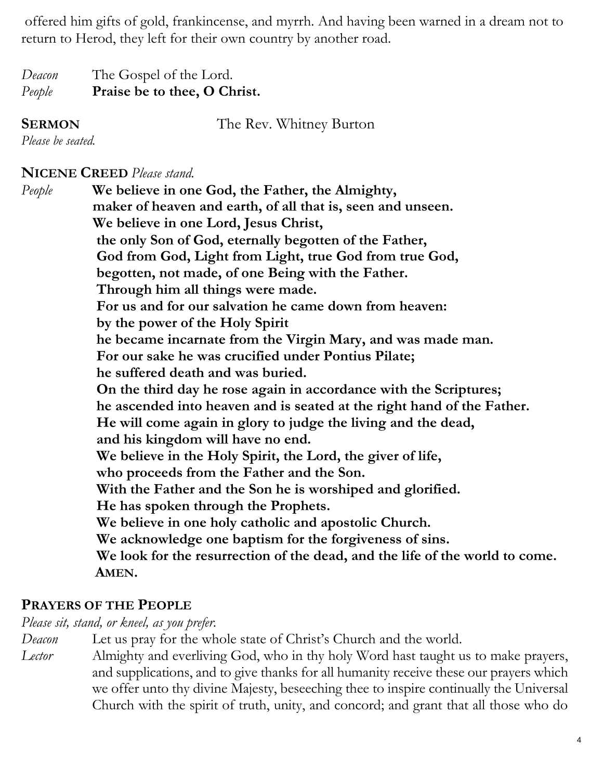offered him gifts of gold, frankincense, and myrrh. And having been warned in a dream not to return to Herod, they left for their own country by another road.

| Deacon | The Gospel of the Lord.      |
|--------|------------------------------|
| People | Praise be to thee, O Christ. |

**SERMON** The Rev. Whitney Burton

*Please be seated.*

#### **NICENE CREED** *Please stand.*

*People* **We believe in one God, the Father, the Almighty, maker of heaven and earth, of all that is, seen and unseen. We believe in one Lord, Jesus Christ, the only Son of God, eternally begotten of the Father, God from God, Light from Light, true God from true God, begotten, not made, of one Being with the Father. Through him all things were made. For us and for our salvation he came down from heaven: by the power of the Holy Spirit he became incarnate from the Virgin Mary, and was made man. For our sake he was crucified under Pontius Pilate; he suffered death and was buried. On the third day he rose again in accordance with the Scriptures; he ascended into heaven and is seated at the right hand of the Father. He will come again in glory to judge the living and the dead, and his kingdom will have no end. We believe in the Holy Spirit, the Lord, the giver of life, who proceeds from the Father and the Son. With the Father and the Son he is worshiped and glorified. He has spoken through the Prophets. We believe in one holy catholic and apostolic Church. We acknowledge one baptism for the forgiveness of sins. We look for the resurrection of the dead, and the life of the world to come. AMEN.**

#### **PRAYERS OF THE PEOPLE**

*Please sit, stand, or kneel, as you prefer.*

*Deacon* Let us pray for the whole state of Christ's Church and the world.

*Lector* Almighty and everliving God, who in thy holy Word hast taught us to make prayers, and supplications, and to give thanks for all humanity receive these our prayers which we offer unto thy divine Majesty, beseeching thee to inspire continually the Universal Church with the spirit of truth, unity, and concord; and grant that all those who do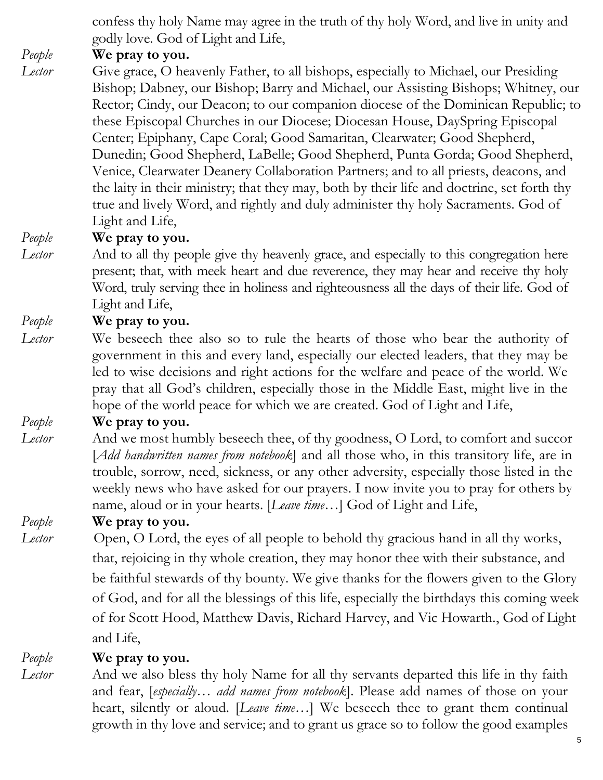confess thy holy Name may agree in the truth of thy holy Word, and live in unity and godly love. God of Light and Life,

#### *People* **We pray to you.**

*Lector* Give grace, O heavenly Father, to all bishops, especially to Michael, our Presiding Bishop; Dabney, our Bishop; Barry and Michael, our Assisting Bishops; Whitney, our Rector; Cindy, our Deacon; to our companion diocese of the Dominican Republic; to these Episcopal Churches in our Diocese; Diocesan House, DaySpring Episcopal Center; Epiphany, Cape Coral; Good Samaritan, Clearwater; Good Shepherd, Dunedin; Good Shepherd, LaBelle; Good Shepherd, Punta Gorda; Good Shepherd, Venice, Clearwater Deanery Collaboration Partners; and to all priests, deacons, and the laity in their ministry; that they may, both by their life and doctrine, set forth thy true and lively Word, and rightly and duly administer thy holy Sacraments. God of Light and Life,

#### *People* **We pray to you.**

*Lector* And to all thy people give thy heavenly grace, and especially to this congregation here present; that, with meek heart and due reverence, they may hear and receive thy holy Word, truly serving thee in holiness and righteousness all the days of their life. God of Light and Life,

#### *People* **We pray to you.**

*Lector* We beseech thee also so to rule the hearts of those who bear the authority of government in this and every land, especially our elected leaders, that they may be led to wise decisions and right actions for the welfare and peace of the world. We pray that all God's children, especially those in the Middle East, might live in the hope of the world peace for which we are created. God of Light and Life,

#### *People* **We pray to you.**

*Lector* And we most humbly beseech thee, of thy goodness, O Lord, to comfort and succor [*Add handwritten names from notebook*] and all those who, in this transitory life, are in trouble, sorrow, need, sickness, or any other adversity, especially those listed in the weekly news who have asked for our prayers. I now invite you to pray for others by name, aloud or in your hearts. [*Leave time…*] God of Light and Life,

### *People* **We pray to you.**

*Lector* Open, O Lord, the eyes of all people to behold thy gracious hand in all thy works, that, rejoicing in thy whole creation, they may honor thee with their substance, and be faithful stewards of thy bounty. We give thanks for the flowers given to the Glory of God, and for all the blessings of this life, especially the birthdays this coming week of for Scott Hood, Matthew Davis, Richard Harvey, and Vic Howarth*.*, God of Light and Life,

#### *People* **We pray to you.**

*Lector* And we also bless thy holy Name for all thy servants departed this life in thy faith and fear, [*especially… add names from notebook*]. Please add names of those on your heart, silently or aloud. [*Leave time…*] We beseech thee to grant them continual growth in thy love and service; and to grant us grace so to follow the good examples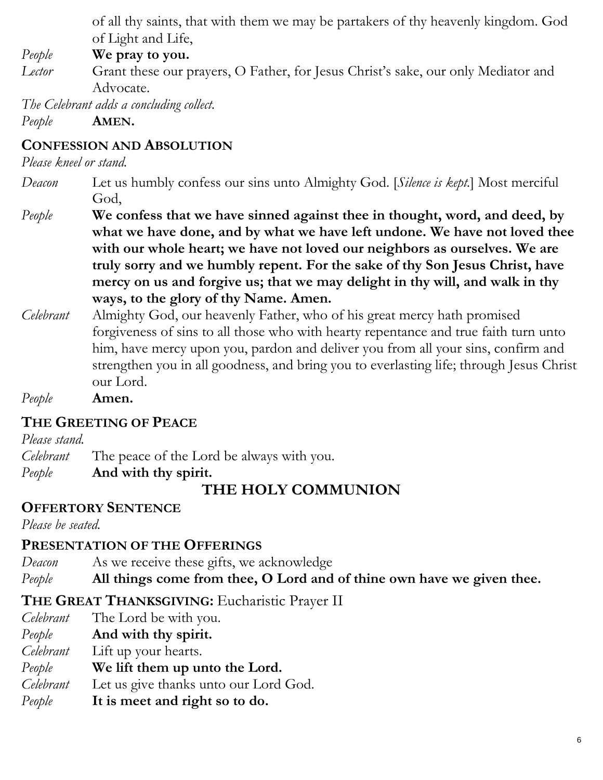of all thy saints, that with them we may be partakers of thy heavenly kingdom. God of Light and Life,

*People* **We pray to you.**

*Lector* Grant these our prayers, O Father, for Jesus Christ's sake, our only Mediator and Advocate.

*The Celebrant adds a concluding collect. People* **AMEN.**

## **CONFESSION AND ABSOLUTION**

*Please kneel or stand.*

- *Deacon* Let us humbly confess our sins unto Almighty God. [*Silence is kept.*] Most merciful God,
- *People* **We confess that we have sinned against thee in thought, word, and deed, by what we have done, and by what we have left undone. We have not loved thee with our whole heart; we have not loved our neighbors as ourselves. We are truly sorry and we humbly repent. For the sake of thy Son Jesus Christ, have mercy on us and forgive us; that we may delight in thy will, and walk in thy ways, to the glory of thy Name. Amen.**
- *Celebrant* Almighty God, our heavenly Father, who of his great mercy hath promised forgiveness of sins to all those who with hearty repentance and true faith turn unto him, have mercy upon you, pardon and deliver you from all your sins, confirm and strengthen you in all goodness, and bring you to everlasting life; through Jesus Christ our Lord.
- *People* **Amen.**

# **THE GREETING OF PEACE**

*Please stand.*

*Celebrant* The peace of the Lord be always with you.

*People* **And with thy spirit.**

# **THE HOLY COMMUNION**

# **OFFERTORY SENTENCE**

*Please be seated.*

# **PRESENTATION OF THE OFFERINGS**

*Deacon* As we receive these gifts, we acknowledge

*People* **All things come from thee, O Lord and of thine own have we given thee.**

# **THE GREAT THANKSGIVING:** Eucharistic Prayer II

*Celebrant* The Lord be with you.

*People* **And with thy spirit.**

*Celebrant* Lift up your hearts.

- *People* **We lift them up unto the Lord.**
- *Celebrant* Let us give thanks unto our Lord God.
- *People* **It is meet and right so to do.**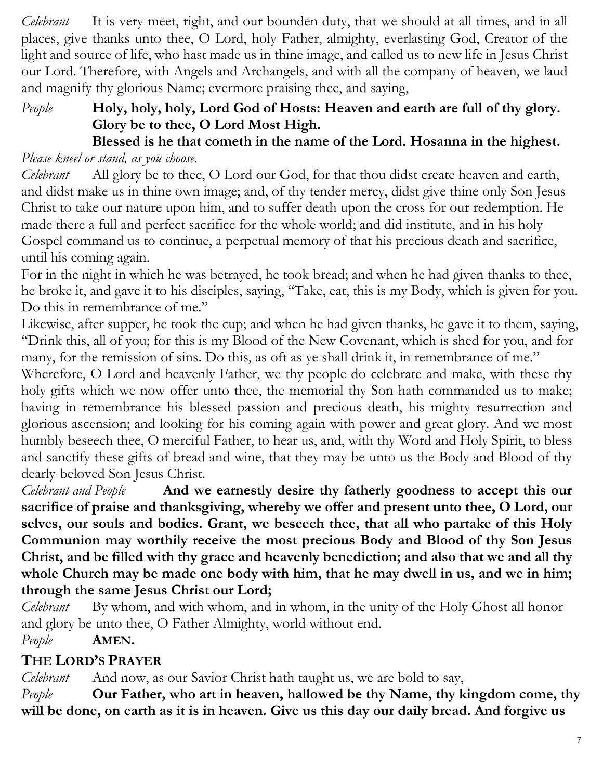*Celebrant* It is very meet, right, and our bounden duty, that we should at all times, and in all places, give thanks unto thee, O Lord, holy Father, almighty, everlasting God, Creator of the light and source of life, who hast made us in thine image, and called us to new life in Jesus Christ our Lord. Therefore, with Angels and Archangels, and with all the company of heaven, we laud and magnify thy glorious Name; evermore praising thee, and saying,

*People* **Holy, holy, holy, Lord God of Hosts: Heaven and earth are full of thy glory. Glory be to thee, O Lord Most High.** 

**Blessed is he that cometh in the name of the Lord. Hosanna in the highest.**

#### *Please kneel or stand, as you choose.*

*Celebrant* All glory be to thee, O Lord our God, for that thou didst create heaven and earth, and didst make us in thine own image; and, of thy tender mercy, didst give thine only Son Jesus Christ to take our nature upon him, and to suffer death upon the cross for our redemption. He made there a full and perfect sacrifice for the whole world; and did institute, and in his holy Gospel command us to continue, a perpetual memory of that his precious death and sacrifice, until his coming again.

For in the night in which he was betrayed, he took bread; and when he had given thanks to thee, he broke it, and gave it to his disciples, saying, "Take, eat, this is my Body, which is given for you. Do this in remembrance of me."

Likewise, after supper, he took the cup; and when he had given thanks, he gave it to them, saying, "Drink this, all of you; for this is my Blood of the New Covenant, which is shed for you, and for many, for the remission of sins. Do this, as oft as ye shall drink it, in remembrance of me."

Wherefore, O Lord and heavenly Father, we thy people do celebrate and make, with these thy holy gifts which we now offer unto thee, the memorial thy Son hath commanded us to make; having in remembrance his blessed passion and precious death, his mighty resurrection and glorious ascension; and looking for his coming again with power and great glory. And we most humbly beseech thee, O merciful Father, to hear us, and, with thy Word and Holy Spirit, to bless and sanctify these gifts of bread and wine, that they may be unto us the Body and Blood of thy dearly-beloved Son Jesus Christ.

*Celebrant and People* **And we earnestly desire thy fatherly goodness to accept this our sacrifice of praise and thanksgiving, whereby we offer and present unto thee, O Lord, our selves, our souls and bodies. Grant, we beseech thee, that all who partake of this Holy Communion may worthily receive the most precious Body and Blood of thy Son Jesus Christ, and be filled with thy grace and heavenly benediction; and also that we and all thy whole Church may be made one body with him, that he may dwell in us, and we in him; through the same Jesus Christ our Lord;** 

*Celebrant* By whom, and with whom, and in whom, in the unity of the Holy Ghost all honor and glory be unto thee, O Father Almighty, world without end.

*People* **AMEN.**

# **THE LORD'S PRAYER**

*Celebrant* And now, as our Savior Christ hath taught us, we are bold to say,

*People* **Our Father, who art in heaven, hallowed be thy Name, thy kingdom come, thy will be done, on earth as it is in heaven. Give us this day our daily bread. And forgive us**